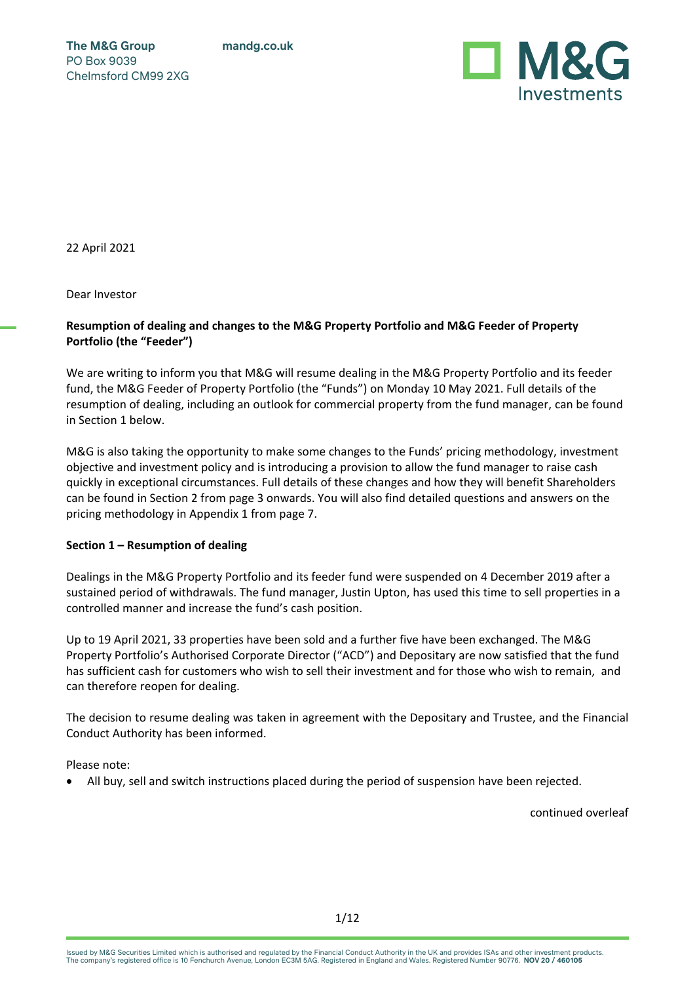**mandg.co.uk**

**The M&G Group** PO Box 9039 Chelmsford CM99 2XG



22 April 2021

Dear Investor

### **Resumption of dealing and changes to the M&G Property Portfolio and M&G Feeder of Property Portfolio (the "Feeder")**

We are writing to inform you that M&G will resume dealing in the M&G Property Portfolio and its feeder fund, the M&G Feeder of Property Portfolio (the "Funds") on Monday 10 May 2021. Full details of the resumption of dealing, including an outlook for commercial property from the fund manager, can be found in Section 1 below.

M&G is also taking the opportunity to make some changes to the Funds' pricing methodology, investment objective and investment policy and is introducing a provision to allow the fund manager to raise cash quickly in exceptional circumstances. Full details of these changes and how they will benefit Shareholders can be found in Section 2 from page 3 onwards. You will also find detailed questions and answers on the pricing methodology in Appendix 1 from page 7.

#### **Section 1 – Resumption of dealing**

Dealings in the M&G Property Portfolio and its feeder fund were suspended on 4 December 2019 after a sustained period of withdrawals. The fund manager, Justin Upton, has used this time to sell properties in a controlled manner and increase the fund's cash position.

Up to 19 April 2021, 33 properties have been sold and a further five have been exchanged. The M&G Property Portfolio's Authorised Corporate Director ("ACD") and Depositary are now satisfied that the fund has sufficient cash for customers who wish to sell their investment and for those who wish to remain, and can therefore reopen for dealing.

The decision to resume dealing was taken in agreement with the Depositary and Trustee, and the Financial Conduct Authority has been informed.

Please note:

• All buy, sell and switch instructions placed during the period of suspension have been rejected.

Issued by M&G Securities Limited which is authorised and regulated by the Financial Conduct Authority in the UK and provides ISAs and other investment products.<br>The company's registered office is 10 Fenchurch Avenue, Londo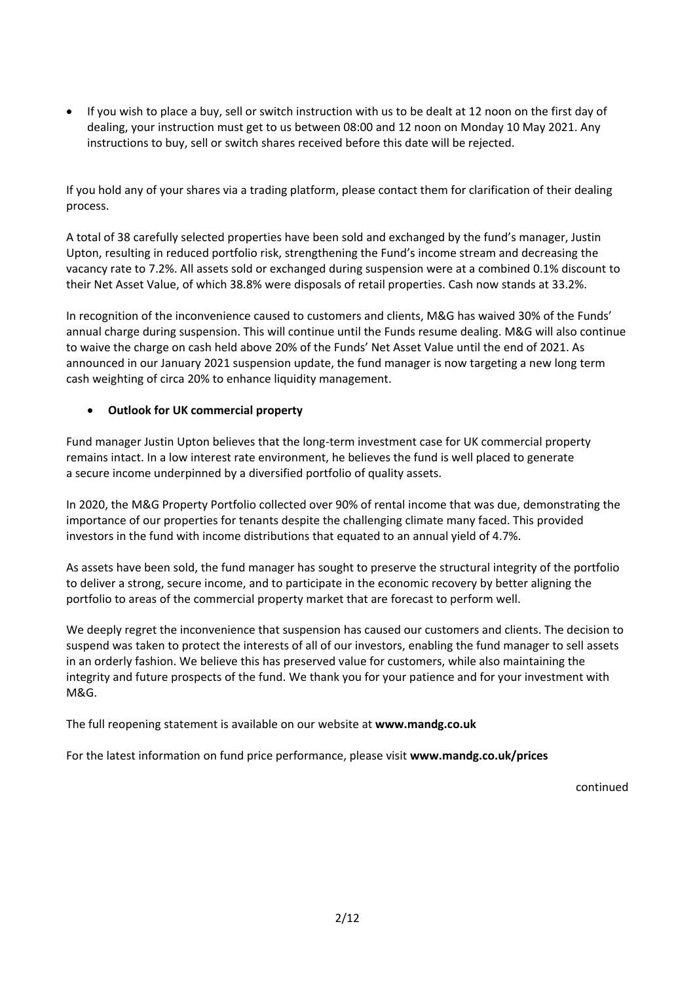• If you wish to place a buy, sell or switch instruction with us to be dealt at 12 noon on the first day of dealing, your instruction must get to us between 08:00 and 12 noon on Monday 10 May 2021. Any instructions to buy, sell or switch shares received before this date will be rejected.

If you hold any of your shares via a trading platform, please contact them for clarification of their dealing process.

A total of 38 carefully selected properties have been sold and exchanged by the fund's manager, Justin Upton, resulting in reduced portfolio risk, strengthening the Fund's income stream and decreasing the vacancy rate to 7.2%. All assets sold or exchanged during suspension were at a combined 0.1% discount to their Net Asset Value, of which 38.8% were disposals of retail properties. Cash now stands at 33.2%.

In recognition of the inconvenience caused to customers and clients, M&G has waived 30% of the Funds' annual charge during suspension. This will continue until the Funds resume dealing. M&G will also continue to waive the charge on cash held above 20% of the Funds' Net Asset Value until the end of 2021. As announced in our January 2021 suspension update, the fund manager is now targeting a new long term cash weighting of circa 20% to enhance liquidity management.

### • **Outlook for UK commercial property**

Fund manager Justin Upton believes that the long-term investment case for UK commercial property remains intact. In a low interest rate environment, he believes the fund is well placed to generate a secure income underpinned by a diversified portfolio of quality assets.

In 2020, the M&G Property Portfolio collected over 90% of rental income that was due, demonstrating the importance of our properties for tenants despite the challenging climate many faced. This provided investors in the fund with income distributions that equated to an annual yield of 4.7%.

As assets have been sold, the fund manager has sought to preserve the structural integrity of the portfolio to deliver a strong, secure income, and to participate in the economic recovery by better aligning the portfolio to areas of the commercial property market that are forecast to perform well.

We deeply regret the inconvenience that suspension has caused our customers and clients. The decision to suspend was taken to protect the interests of all of our investors, enabling the fund manager to sell assets in an orderly fashion. We believe this has preserved value for customers, while also maintaining the integrity and future prospects of the fund. We thank you for your patience and for your investment with M&G.

The full reopening statement is available on our website at **www.mandg.co.uk**

For the latest information on fund price performance, please visit **www.mandg.co.uk/prices**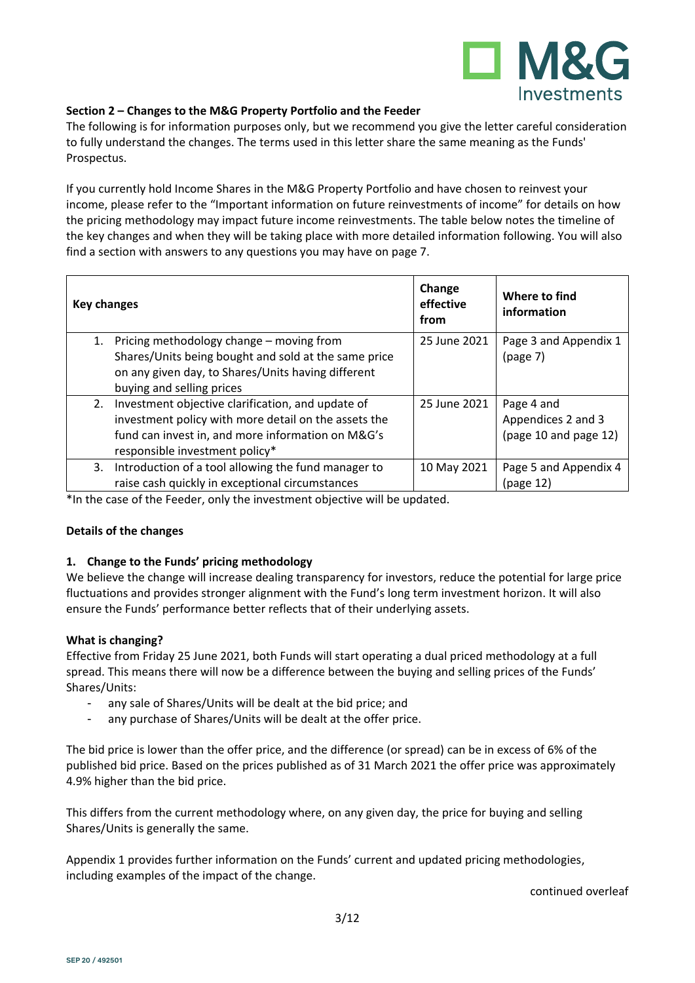

### **Section 2 – Changes to the M&G Property Portfolio and the Feeder**

The following is for information purposes only, but we recommend you give the letter careful consideration to fully understand the changes. The terms used in this letter share the same meaning as the Funds' Prospectus.

If you currently hold Income Shares in the M&G Property Portfolio and have chosen to reinvest your income, please refer to the "Important information on future reinvestments of income" for details on how the pricing methodology may impact future income reinvestments. The table below notes the timeline of the key changes and when they will be taking place with more detailed information following. You will also find a section with answers to any questions you may have on page 7.

| <b>Key changes</b> |                                                                                                                                                                                                  | Change<br>effective<br>from | Where to find<br>information                              |
|--------------------|--------------------------------------------------------------------------------------------------------------------------------------------------------------------------------------------------|-----------------------------|-----------------------------------------------------------|
| 1.                 | Pricing methodology change - moving from<br>Shares/Units being bought and sold at the same price<br>on any given day, to Shares/Units having different                                           | 25 June 2021                | Page 3 and Appendix 1<br>(page 7)                         |
|                    | buying and selling prices                                                                                                                                                                        |                             |                                                           |
| 2.                 | Investment objective clarification, and update of<br>investment policy with more detail on the assets the<br>fund can invest in, and more information on M&G's<br>responsible investment policy* | 25 June 2021                | Page 4 and<br>Appendices 2 and 3<br>(page 10 and page 12) |
| 3.                 | Introduction of a tool allowing the fund manager to<br>raise cash quickly in exceptional circumstances                                                                                           | 10 May 2021                 | Page 5 and Appendix 4<br>(page 12)                        |

\*In the case of the Feeder, only the investment objective will be updated.

#### **Details of the changes**

#### **1. Change to the Funds' pricing methodology**

We believe the change will increase dealing transparency for investors, reduce the potential for large price fluctuations and provides stronger alignment with the Fund's long term investment horizon. It will also ensure the Funds' performance better reflects that of their underlying assets.

#### **What is changing?**

Effective from Friday 25 June 2021, both Funds will start operating a dual priced methodology at a full spread. This means there will now be a difference between the buying and selling prices of the Funds' Shares/Units:

- any sale of Shares/Units will be dealt at the bid price; and
- any purchase of Shares/Units will be dealt at the offer price.

The bid price is lower than the offer price, and the difference (or spread) can be in excess of 6% of the published bid price. Based on the prices published as of 31 March 2021 the offer price was approximately 4.9% higher than the bid price.

This differs from the current methodology where, on any given day, the price for buying and selling Shares/Units is generally the same.

Appendix 1 provides further information on the Funds' current and updated pricing methodologies, including examples of the impact of the change.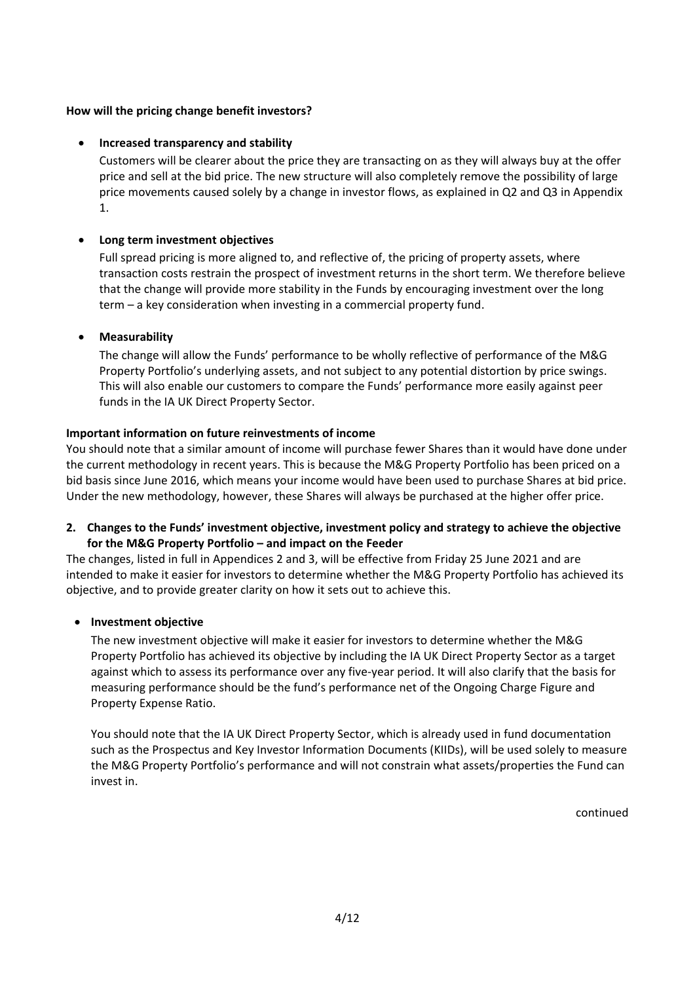### **How will the pricing change benefit investors?**

### • **Increased transparency and stability**

Customers will be clearer about the price they are transacting on as they will always buy at the offer price and sell at the bid price. The new structure will also completely remove the possibility of large price movements caused solely by a change in investor flows, as explained in Q2 and Q3 in Appendix 1.

### • **Long term investment objectives**

Full spread pricing is more aligned to, and reflective of, the pricing of property assets, where transaction costs restrain the prospect of investment returns in the short term. We therefore believe that the change will provide more stability in the Funds by encouraging investment over the long term – a key consideration when investing in a commercial property fund.

### • **Measurability**

The change will allow the Funds' performance to be wholly reflective of performance of the M&G Property Portfolio's underlying assets, and not subject to any potential distortion by price swings. This will also enable our customers to compare the Funds' performance more easily against peer funds in the IA UK Direct Property Sector.

### **Important information on future reinvestments of income**

You should note that a similar amount of income will purchase fewer Shares than it would have done under the current methodology in recent years. This is because the M&G Property Portfolio has been priced on a bid basis since June 2016, which means your income would have been used to purchase Shares at bid price. Under the new methodology, however, these Shares will always be purchased at the higher offer price.

### **2. Changes to the Funds' investment objective, investment policy and strategy to achieve the objective for the M&G Property Portfolio – and impact on the Feeder**

The changes, listed in full in Appendices 2 and 3, will be effective from Friday 25 June 2021 and are intended to make it easier for investors to determine whether the M&G Property Portfolio has achieved its objective, and to provide greater clarity on how it sets out to achieve this.

#### • **Investment objective**

The new investment objective will make it easier for investors to determine whether the M&G Property Portfolio has achieved its objective by including the IA UK Direct Property Sector as a target against which to assess its performance over any five-year period. It will also clarify that the basis for measuring performance should be the fund's performance net of the Ongoing Charge Figure and Property Expense Ratio.

You should note that the IA UK Direct Property Sector, which is already used in fund documentation such as the Prospectus and Key Investor Information Documents (KIIDs), will be used solely to measure the M&G Property Portfolio's performance and will not constrain what assets/properties the Fund can invest in.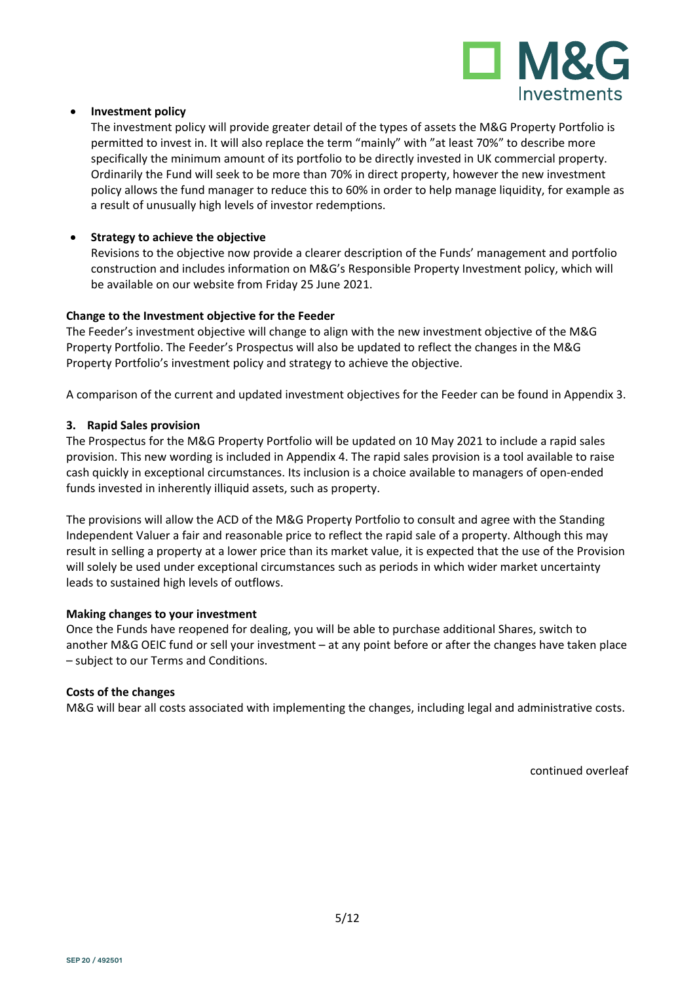

### • **Investment policy**

The investment policy will provide greater detail of the types of assets the M&G Property Portfolio is permitted to invest in. It will also replace the term "mainly" with "at least 70%" to describe more specifically the minimum amount of its portfolio to be directly invested in UK commercial property. Ordinarily the Fund will seek to be more than 70% in direct property, however the new investment policy allows the fund manager to reduce this to 60% in order to help manage liquidity, for example as a result of unusually high levels of investor redemptions.

### • **Strategy to achieve the objective**

Revisions to the objective now provide a clearer description of the Funds' management and portfolio construction and includes information on M&G's Responsible Property Investment policy, which will be available on our website from Friday 25 June 2021.

#### **Change to the Investment objective for the Feeder**

The Feeder's investment objective will change to align with the new investment objective of the M&G Property Portfolio. The Feeder's Prospectus will also be updated to reflect the changes in the M&G Property Portfolio's investment policy and strategy to achieve the objective.

A comparison of the current and updated investment objectives for the Feeder can be found in Appendix 3.

### **3. Rapid Sales provision**

The Prospectus for the M&G Property Portfolio will be updated on 10 May 2021 to include a rapid sales provision. This new wording is included in Appendix 4. The rapid sales provision is a tool available to raise cash quickly in exceptional circumstances. Its inclusion is a choice available to managers of open-ended funds invested in inherently illiquid assets, such as property.

The provisions will allow the ACD of the M&G Property Portfolio to consult and agree with the Standing Independent Valuer a fair and reasonable price to reflect the rapid sale of a property. Although this may result in selling a property at a lower price than its market value, it is expected that the use of the Provision will solely be used under exceptional circumstances such as periods in which wider market uncertainty leads to sustained high levels of outflows.

#### **Making changes to your investment**

Once the Funds have reopened for dealing, you will be able to purchase additional Shares, switch to another M&G OEIC fund or sell your investment – at any point before or after the changes have taken place – subject to our Terms and Conditions.

#### **Costs of the changes**

M&G will bear all costs associated with implementing the changes, including legal and administrative costs.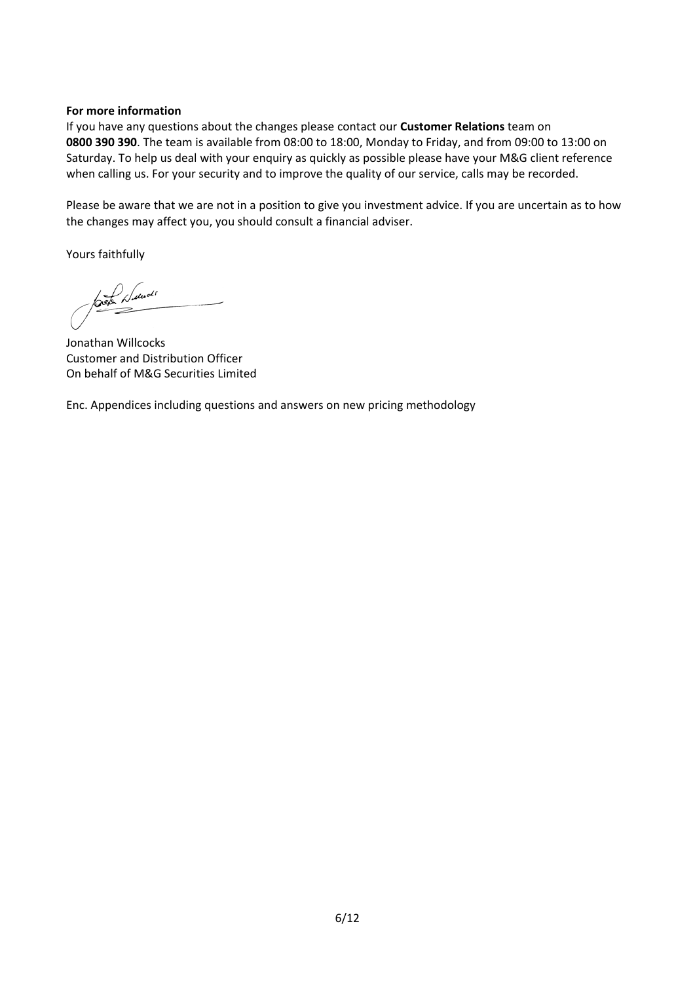### **For more information**

If you have any questions about the changes please contact our **Customer Relations** team on **0800 390 390**. The team is available from 08:00 to 18:00, Monday to Friday, and from 09:00 to 13:00 on Saturday. To help us deal with your enquiry as quickly as possible please have your M&G client reference when calling us. For your security and to improve the quality of our service, calls may be recorded.

Please be aware that we are not in a position to give you investment advice. If you are uncertain as to how the changes may affect you, you should consult a financial adviser.

Yours faithfully

Luce di

Jonathan Willcocks Customer and Distribution Officer On behalf of M&G Securities Limited

Enc. Appendices including questions and answers on new pricing methodology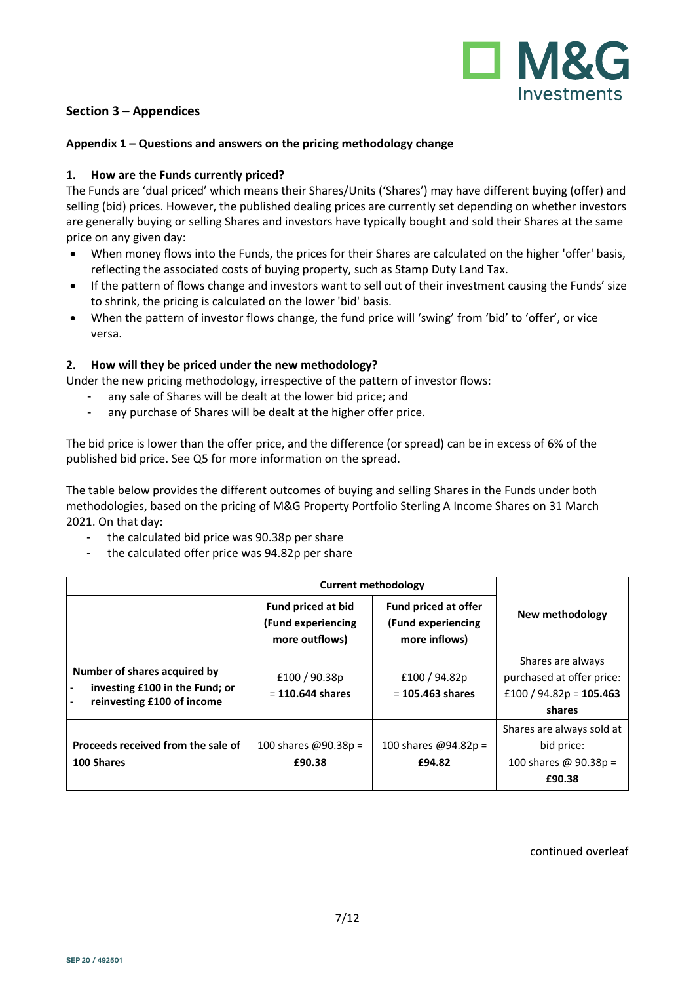

### **Section 3 – Appendices**

### **Appendix 1 – Questions and answers on the pricing methodology change**

### **1. How are the Funds currently priced?**

The Funds are 'dual priced' which means their Shares/Units ('Shares') may have different buying (offer) and selling (bid) prices. However, the published dealing prices are currently set depending on whether investors are generally buying or selling Shares and investors have typically bought and sold their Shares at the same price on any given day:

- When money flows into the Funds, the prices for their Shares are calculated on the higher 'offer' basis, reflecting the associated costs of buying property, such as Stamp Duty Land Tax.
- If the pattern of flows change and investors want to sell out of their investment causing the Funds' size to shrink, the pricing is calculated on the lower 'bid' basis.
- When the pattern of investor flows change, the fund price will 'swing' from 'bid' to 'offer', or vice versa.

### **2. How will they be priced under the new methodology?**

Under the new pricing methodology, irrespective of the pattern of investor flows:

- any sale of Shares will be dealt at the lower bid price; and
- any purchase of Shares will be dealt at the higher offer price.

The bid price is lower than the offer price, and the difference (or spread) can be in excess of 6% of the published bid price. See Q5 for more information on the spread.

The table below provides the different outcomes of buying and selling Shares in the Funds under both methodologies, based on the pricing of M&G Property Portfolio Sterling A Income Shares on 31 March 2021. On that day:

- the calculated bid price was 90.38p per share
- the calculated offer price was 94.82p per share

|                                                                                              | <b>Current methodology</b>                                 |                                                                    |                                                                                       |
|----------------------------------------------------------------------------------------------|------------------------------------------------------------|--------------------------------------------------------------------|---------------------------------------------------------------------------------------|
|                                                                                              | Fund priced at bid<br>(Fund experiencing<br>more outflows) | <b>Fund priced at offer</b><br>(Fund experiencing<br>more inflows) | New methodology                                                                       |
| Number of shares acquired by<br>investing £100 in the Fund; or<br>reinvesting £100 of income | £100 / 90.38p<br>$= 110.644$ shares                        | £100/94.82p<br>$= 105.463$ shares                                  | Shares are always<br>purchased at offer price:<br>£100 / 94.82p = $105.463$<br>shares |
| Proceeds received from the sale of<br>100 Shares                                             | 100 shares @90.38p =<br>£90.38                             | 100 shares @94.82p =<br>£94.82                                     | Shares are always sold at<br>bid price:<br>100 shares @ 90.38p =<br>£90.38            |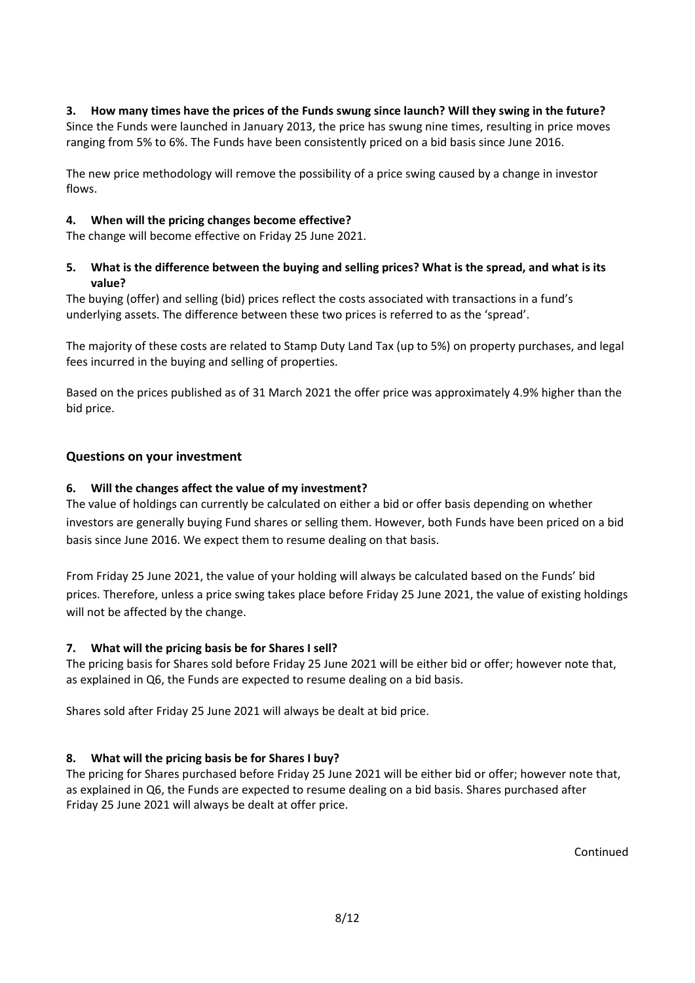**3. How many times have the prices of the Funds swung since launch? Will they swing in the future?** Since the Funds were launched in January 2013, the price has swung nine times, resulting in price moves ranging from 5% to 6%. The Funds have been consistently priced on a bid basis since June 2016.

The new price methodology will remove the possibility of a price swing caused by a change in investor flows.

### **4. When will the pricing changes become effective?**

The change will become effective on Friday 25 June 2021.

### **5. What is the difference between the buying and selling prices? What is the spread, and what is its value?**

The buying (offer) and selling (bid) prices reflect the costs associated with transactions in a fund's underlying assets. The difference between these two prices is referred to as the 'spread'.

The majority of these costs are related to Stamp Duty Land Tax (up to 5%) on property purchases, and legal fees incurred in the buying and selling of properties.

Based on the prices published as of 31 March 2021 the offer price was approximately 4.9% higher than the bid price.

### **Questions on your investment**

### **6. Will the changes affect the value of my investment?**

The value of holdings can currently be calculated on either a bid or offer basis depending on whether investors are generally buying Fund shares or selling them. However, both Funds have been priced on a bid basis since June 2016. We expect them to resume dealing on that basis.

From Friday 25 June 2021, the value of your holding will always be calculated based on the Funds' bid prices. Therefore, unless a price swing takes place before Friday 25 June 2021, the value of existing holdings will not be affected by the change.

#### **7. What will the pricing basis be for Shares I sell?**

The pricing basis for Shares sold before Friday 25 June 2021 will be either bid or offer; however note that, as explained in Q6, the Funds are expected to resume dealing on a bid basis.

Shares sold after Friday 25 June 2021 will always be dealt at bid price.

### **8. What will the pricing basis be for Shares I buy?**

The pricing for Shares purchased before Friday 25 June 2021 will be either bid or offer; however note that, as explained in Q6, the Funds are expected to resume dealing on a bid basis. Shares purchased after Friday 25 June 2021 will always be dealt at offer price.

Continued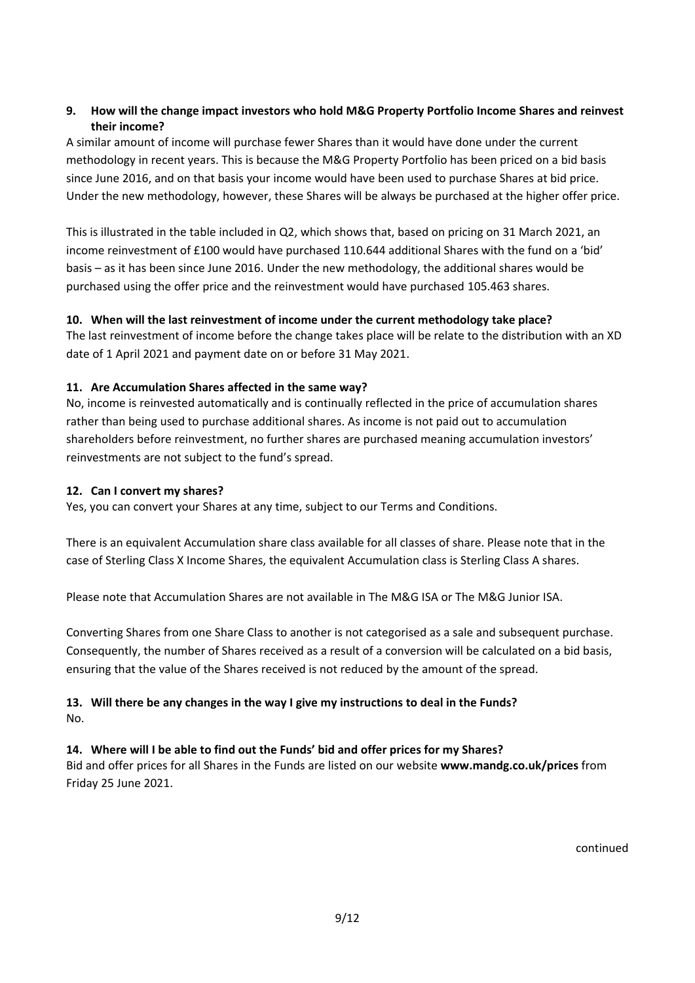### **9. How will the change impact investors who hold M&G Property Portfolio Income Shares and reinvest their income?**

A similar amount of income will purchase fewer Shares than it would have done under the current methodology in recent years. This is because the M&G Property Portfolio has been priced on a bid basis since June 2016, and on that basis your income would have been used to purchase Shares at bid price. Under the new methodology, however, these Shares will be always be purchased at the higher offer price.

This is illustrated in the table included in Q2, which shows that, based on pricing on 31 March 2021, an income reinvestment of £100 would have purchased 110.644 additional Shares with the fund on a 'bid' basis – as it has been since June 2016. Under the new methodology, the additional shares would be purchased using the offer price and the reinvestment would have purchased 105.463 shares.

### **10. When will the last reinvestment of income under the current methodology take place?**

The last reinvestment of income before the change takes place will be relate to the distribution with an XD date of 1 April 2021 and payment date on or before 31 May 2021.

### **11. Are Accumulation Shares affected in the same way?**

No, income is reinvested automatically and is continually reflected in the price of accumulation shares rather than being used to purchase additional shares. As income is not paid out to accumulation shareholders before reinvestment, no further shares are purchased meaning accumulation investors' reinvestments are not subject to the fund's spread.

### **12. Can I convert my shares?**

Yes, you can convert your Shares at any time, subject to our Terms and Conditions.

There is an equivalent Accumulation share class available for all classes of share. Please note that in the case of Sterling Class X Income Shares, the equivalent Accumulation class is Sterling Class A shares.

Please note that Accumulation Shares are not available in The M&G ISA or The M&G Junior ISA.

Converting Shares from one Share Class to another is not categorised as a sale and subsequent purchase. Consequently, the number of Shares received as a result of a conversion will be calculated on a bid basis, ensuring that the value of the Shares received is not reduced by the amount of the spread.

## **13. Will there be any changes in the way I give my instructions to deal in the Funds?** No.

#### **14. Where will I be able to find out the Funds' bid and offer prices for my Shares?**

Bid and offer prices for all Shares in the Funds are listed on our website **www.mandg.co.uk/prices** from Friday 25 June 2021.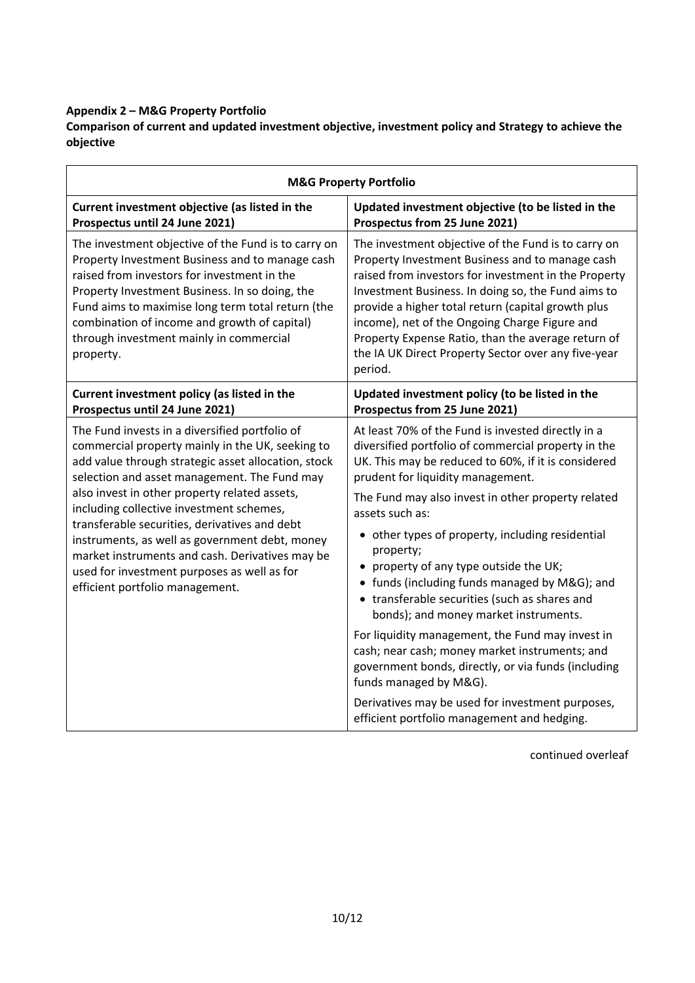# **Appendix 2 – M&G Property Portfolio**

**Comparison of current and updated investment objective, investment policy and Strategy to achieve the objective**

| <b>M&amp;G Property Portfolio</b>                                                                                                                                                                                                                                                                                                                                    |                                                                                                                                                                                                                                                                                                                                                                                                                                                     |  |  |  |
|----------------------------------------------------------------------------------------------------------------------------------------------------------------------------------------------------------------------------------------------------------------------------------------------------------------------------------------------------------------------|-----------------------------------------------------------------------------------------------------------------------------------------------------------------------------------------------------------------------------------------------------------------------------------------------------------------------------------------------------------------------------------------------------------------------------------------------------|--|--|--|
| Current investment objective (as listed in the<br>Prospectus until 24 June 2021)                                                                                                                                                                                                                                                                                     | Updated investment objective (to be listed in the<br>Prospectus from 25 June 2021)                                                                                                                                                                                                                                                                                                                                                                  |  |  |  |
| The investment objective of the Fund is to carry on<br>Property Investment Business and to manage cash<br>raised from investors for investment in the<br>Property Investment Business. In so doing, the<br>Fund aims to maximise long term total return (the<br>combination of income and growth of capital)<br>through investment mainly in commercial<br>property. | The investment objective of the Fund is to carry on<br>Property Investment Business and to manage cash<br>raised from investors for investment in the Property<br>Investment Business. In doing so, the Fund aims to<br>provide a higher total return (capital growth plus<br>income), net of the Ongoing Charge Figure and<br>Property Expense Ratio, than the average return of<br>the IA UK Direct Property Sector over any five-year<br>period. |  |  |  |
| Current investment policy (as listed in the<br>Prospectus until 24 June 2021)                                                                                                                                                                                                                                                                                        | Updated investment policy (to be listed in the<br>Prospectus from 25 June 2021)                                                                                                                                                                                                                                                                                                                                                                     |  |  |  |
| The Fund invests in a diversified portfolio of<br>commercial property mainly in the UK, seeking to<br>add value through strategic asset allocation, stock<br>selection and asset management. The Fund may                                                                                                                                                            | At least 70% of the Fund is invested directly in a<br>diversified portfolio of commercial property in the<br>UK. This may be reduced to 60%, if it is considered<br>prudent for liquidity management.                                                                                                                                                                                                                                               |  |  |  |
| also invest in other property related assets,<br>including collective investment schemes,                                                                                                                                                                                                                                                                            | The Fund may also invest in other property related<br>assets such as:                                                                                                                                                                                                                                                                                                                                                                               |  |  |  |
| transferable securities, derivatives and debt<br>instruments, as well as government debt, money<br>market instruments and cash. Derivatives may be<br>used for investment purposes as well as for<br>efficient portfolio management.                                                                                                                                 | • other types of property, including residential<br>property;<br>property of any type outside the UK;<br>• funds (including funds managed by M&G); and<br>• transferable securities (such as shares and<br>bonds); and money market instruments.                                                                                                                                                                                                    |  |  |  |
|                                                                                                                                                                                                                                                                                                                                                                      | For liquidity management, the Fund may invest in<br>cash; near cash; money market instruments; and<br>government bonds, directly, or via funds (including<br>funds managed by M&G).                                                                                                                                                                                                                                                                 |  |  |  |
|                                                                                                                                                                                                                                                                                                                                                                      | Derivatives may be used for investment purposes,<br>efficient portfolio management and hedging.                                                                                                                                                                                                                                                                                                                                                     |  |  |  |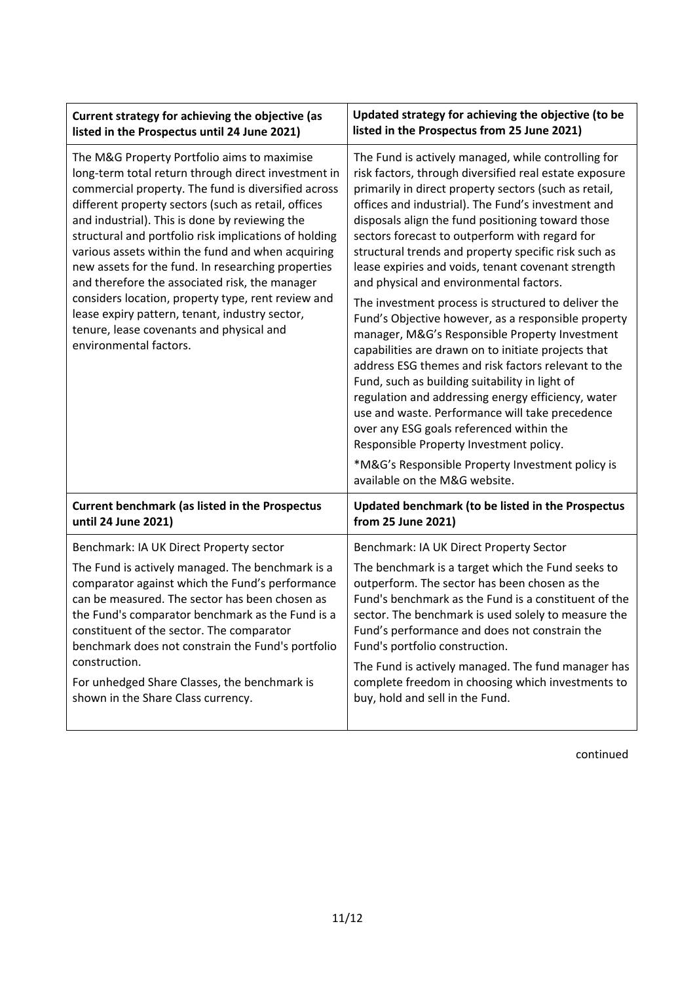| Current strategy for achieving the objective (as                                                                                                                                                                                                                                                                                                                                                                                                                                                                                                                                                                                                                       | Updated strategy for achieving the objective (to be                                                                                                                                                                                                                                                                                                                                                                                                                                                                                                                                                                                                                                                                                                                                                                                                                                                                                                                                                                                                                                                               |  |
|------------------------------------------------------------------------------------------------------------------------------------------------------------------------------------------------------------------------------------------------------------------------------------------------------------------------------------------------------------------------------------------------------------------------------------------------------------------------------------------------------------------------------------------------------------------------------------------------------------------------------------------------------------------------|-------------------------------------------------------------------------------------------------------------------------------------------------------------------------------------------------------------------------------------------------------------------------------------------------------------------------------------------------------------------------------------------------------------------------------------------------------------------------------------------------------------------------------------------------------------------------------------------------------------------------------------------------------------------------------------------------------------------------------------------------------------------------------------------------------------------------------------------------------------------------------------------------------------------------------------------------------------------------------------------------------------------------------------------------------------------------------------------------------------------|--|
| listed in the Prospectus until 24 June 2021)                                                                                                                                                                                                                                                                                                                                                                                                                                                                                                                                                                                                                           | listed in the Prospectus from 25 June 2021)                                                                                                                                                                                                                                                                                                                                                                                                                                                                                                                                                                                                                                                                                                                                                                                                                                                                                                                                                                                                                                                                       |  |
| The M&G Property Portfolio aims to maximise<br>long-term total return through direct investment in<br>commercial property. The fund is diversified across<br>different property sectors (such as retail, offices<br>and industrial). This is done by reviewing the<br>structural and portfolio risk implications of holding<br>various assets within the fund and when acquiring<br>new assets for the fund. In researching properties<br>and therefore the associated risk, the manager<br>considers location, property type, rent review and<br>lease expiry pattern, tenant, industry sector,<br>tenure, lease covenants and physical and<br>environmental factors. | The Fund is actively managed, while controlling for<br>risk factors, through diversified real estate exposure<br>primarily in direct property sectors (such as retail,<br>offices and industrial). The Fund's investment and<br>disposals align the fund positioning toward those<br>sectors forecast to outperform with regard for<br>structural trends and property specific risk such as<br>lease expiries and voids, tenant covenant strength<br>and physical and environmental factors.<br>The investment process is structured to deliver the<br>Fund's Objective however, as a responsible property<br>manager, M&G's Responsible Property Investment<br>capabilities are drawn on to initiate projects that<br>address ESG themes and risk factors relevant to the<br>Fund, such as building suitability in light of<br>regulation and addressing energy efficiency, water<br>use and waste. Performance will take precedence<br>over any ESG goals referenced within the<br>Responsible Property Investment policy.<br>*M&G's Responsible Property Investment policy is<br>available on the M&G website. |  |
| <b>Current benchmark (as listed in the Prospectus</b>                                                                                                                                                                                                                                                                                                                                                                                                                                                                                                                                                                                                                  | Updated benchmark (to be listed in the Prospectus                                                                                                                                                                                                                                                                                                                                                                                                                                                                                                                                                                                                                                                                                                                                                                                                                                                                                                                                                                                                                                                                 |  |
| until 24 June 2021)                                                                                                                                                                                                                                                                                                                                                                                                                                                                                                                                                                                                                                                    | from 25 June 2021)                                                                                                                                                                                                                                                                                                                                                                                                                                                                                                                                                                                                                                                                                                                                                                                                                                                                                                                                                                                                                                                                                                |  |
| Benchmark: IA UK Direct Property sector                                                                                                                                                                                                                                                                                                                                                                                                                                                                                                                                                                                                                                | Benchmark: IA UK Direct Property Sector                                                                                                                                                                                                                                                                                                                                                                                                                                                                                                                                                                                                                                                                                                                                                                                                                                                                                                                                                                                                                                                                           |  |
| The Fund is actively managed. The benchmark is a                                                                                                                                                                                                                                                                                                                                                                                                                                                                                                                                                                                                                       | The benchmark is a target which the Fund seeks to                                                                                                                                                                                                                                                                                                                                                                                                                                                                                                                                                                                                                                                                                                                                                                                                                                                                                                                                                                                                                                                                 |  |
| comparator against which the Fund's performance                                                                                                                                                                                                                                                                                                                                                                                                                                                                                                                                                                                                                        | outperform. The sector has been chosen as the                                                                                                                                                                                                                                                                                                                                                                                                                                                                                                                                                                                                                                                                                                                                                                                                                                                                                                                                                                                                                                                                     |  |
| can be measured. The sector has been chosen as                                                                                                                                                                                                                                                                                                                                                                                                                                                                                                                                                                                                                         | Fund's benchmark as the Fund is a constituent of the                                                                                                                                                                                                                                                                                                                                                                                                                                                                                                                                                                                                                                                                                                                                                                                                                                                                                                                                                                                                                                                              |  |
| the Fund's comparator benchmark as the Fund is a                                                                                                                                                                                                                                                                                                                                                                                                                                                                                                                                                                                                                       | sector. The benchmark is used solely to measure the                                                                                                                                                                                                                                                                                                                                                                                                                                                                                                                                                                                                                                                                                                                                                                                                                                                                                                                                                                                                                                                               |  |
| constituent of the sector. The comparator                                                                                                                                                                                                                                                                                                                                                                                                                                                                                                                                                                                                                              | Fund's performance and does not constrain the                                                                                                                                                                                                                                                                                                                                                                                                                                                                                                                                                                                                                                                                                                                                                                                                                                                                                                                                                                                                                                                                     |  |
| benchmark does not constrain the Fund's portfolio                                                                                                                                                                                                                                                                                                                                                                                                                                                                                                                                                                                                                      | Fund's portfolio construction.                                                                                                                                                                                                                                                                                                                                                                                                                                                                                                                                                                                                                                                                                                                                                                                                                                                                                                                                                                                                                                                                                    |  |
| construction.                                                                                                                                                                                                                                                                                                                                                                                                                                                                                                                                                                                                                                                          | The Fund is actively managed. The fund manager has                                                                                                                                                                                                                                                                                                                                                                                                                                                                                                                                                                                                                                                                                                                                                                                                                                                                                                                                                                                                                                                                |  |
| For unhedged Share Classes, the benchmark is                                                                                                                                                                                                                                                                                                                                                                                                                                                                                                                                                                                                                           | complete freedom in choosing which investments to                                                                                                                                                                                                                                                                                                                                                                                                                                                                                                                                                                                                                                                                                                                                                                                                                                                                                                                                                                                                                                                                 |  |
| shown in the Share Class currency.                                                                                                                                                                                                                                                                                                                                                                                                                                                                                                                                                                                                                                     | buy, hold and sell in the Fund.                                                                                                                                                                                                                                                                                                                                                                                                                                                                                                                                                                                                                                                                                                                                                                                                                                                                                                                                                                                                                                                                                   |  |